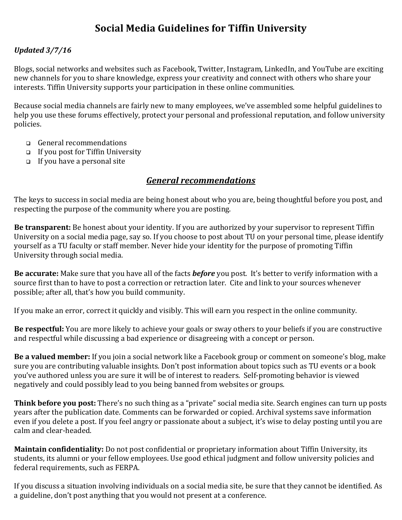# **Social Media Guidelines for Tiffin University**

#### *Updated 3/7/16*

Blogs, social networks and websites such as Facebook, Twitter, Instagram, LinkedIn, and YouTube are exciting new channels for you to share knowledge, express your creativity and connect with others who share vour interests. Tiffin University supports your participation in these online communities.

Because social media channels are fairly new to many employees, we've assembled some helpful guidelines to help you use these forums effectively, protect your personal and professional reputation, and follow university policies. 

- $\Box$  General recommendations
- $\Box$  If you post for Tiffin University
- $\Box$  If you have a personal site

#### *General recommendations*

The keys to success in social media are being honest about who you are, being thoughtful before you post, and respecting the purpose of the community where you are posting.

**Be transparent:** Be honest about your identity. If you are authorized by your supervisor to represent Tiffin University on a social media page, say so. If you choose to post about TU on your personal time, please identify yourself as a TU faculty or staff member. Never hide your identity for the purpose of promoting Tiffin University through social media.

**Be accurate:** Make sure that you have all of the facts *before* you post. It's better to verify information with a source first than to have to post a correction or retraction later. Cite and link to your sources whenever possible; after all, that's how you build community.

If you make an error, correct it quickly and visibly. This will earn you respect in the online community.

**Be respectful:** You are more likely to achieve your goals or sway others to your beliefs if you are constructive and respectful while discussing a bad experience or disagreeing with a concept or person.

**Be a valued member:** If you join a social network like a Facebook group or comment on someone's blog, make sure you are contributing valuable insights. Don't post information about topics such as TU events or a book you've authored unless you are sure it will be of interest to readers. Self-promoting behavior is viewed negatively and could possibly lead to you being banned from websites or groups.

**Think before you post:** There's no such thing as a "private" social media site. Search engines can turn up posts years after the publication date. Comments can be forwarded or copied. Archival systems save information even if you delete a post. If you feel angry or passionate about a subject, it's wise to delay posting until you are calm and clear-headed.

**Maintain confidentiality:** Do not post confidential or proprietary information about Tiffin University, its students, its alumni or your fellow employees. Use good ethical judgment and follow university policies and federal requirements, such as FERPA.

If you discuss a situation involving individuals on a social media site, be sure that they cannot be identified. As a guideline, don't post anything that you would not present at a conference.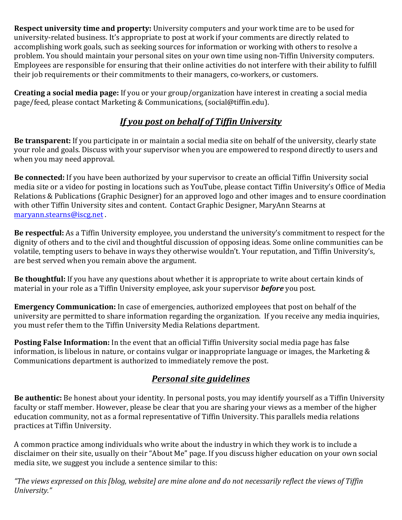**Respect university time and property:** University computers and your work time are to be used for university-related business. It's appropriate to post at work if your comments are directly related to accomplishing work goals, such as seeking sources for information or working with others to resolve a problem. You should maintain your personal sites on your own time using non-Tiffin University computers. Employees are responsible for ensuring that their online activities do not interfere with their ability to fulfill their job requirements or their commitments to their managers, co-workers, or customers.

**Creating a social media page:** If you or your group/organization have interest in creating a social media page/feed, please contact Marketing & Communications, (social@tiffin.edu).

## *If you post on behalf of Tiffin University*

**Be transparent:** If you participate in or maintain a social media site on behalf of the university, clearly state your role and goals. Discuss with your supervisor when you are empowered to respond directly to users and when you may need approval.

**Be connected:** If you have been authorized by your supervisor to create an official Tiffin University social media site or a video for posting in locations such as YouTube, please contact Tiffin University's Office of Media Relations & Publications (Graphic Designer) for an approved logo and other images and to ensure coordination with other Tiffin University sites and content. Contact Graphic Designer, MaryAnn Stearns at maryann.stearns@iscg.net .

**Be respectful:** As a Tiffin University employee, you understand the university's commitment to respect for the dignity of others and to the civil and thoughtful discussion of opposing ideas. Some online communities can be volatile, tempting users to behave in ways they otherwise wouldn't. Your reputation, and Tiffin University's, are best served when you remain above the argument.

**Be thoughtful:** If you have any questions about whether it is appropriate to write about certain kinds of material in your role as a Tiffin University employee, ask your supervisor **before** you post.

**Emergency Communication:** In case of emergencies, authorized employees that post on behalf of the university are permitted to share information regarding the organization. If you receive any media inquiries, you must refer them to the Tiffin University Media Relations department.

**Posting False Information:** In the event that an official Tiffin University social media page has false information, is libelous in nature, or contains vulgar or inappropriate language or images, the Marketing  $\&$ Communications department is authorized to immediately remove the post.

### *Personal site guidelines*

**Be authentic:** Be honest about your identity. In personal posts, you may identify yourself as a Tiffin University faculty or staff member. However, please be clear that you are sharing your views as a member of the higher education community, not as a formal representative of Tiffin University. This parallels media relations practices at Tiffin University.

A common practice among individuals who write about the industry in which they work is to include a disclaimer on their site, usually on their "About Me" page. If you discuss higher education on your own social media site, we suggest you include a sentence similar to this:

*"The views expressed on this [blog, website] are mine alone and do not necessarily reflect the views of Tiffin University."*